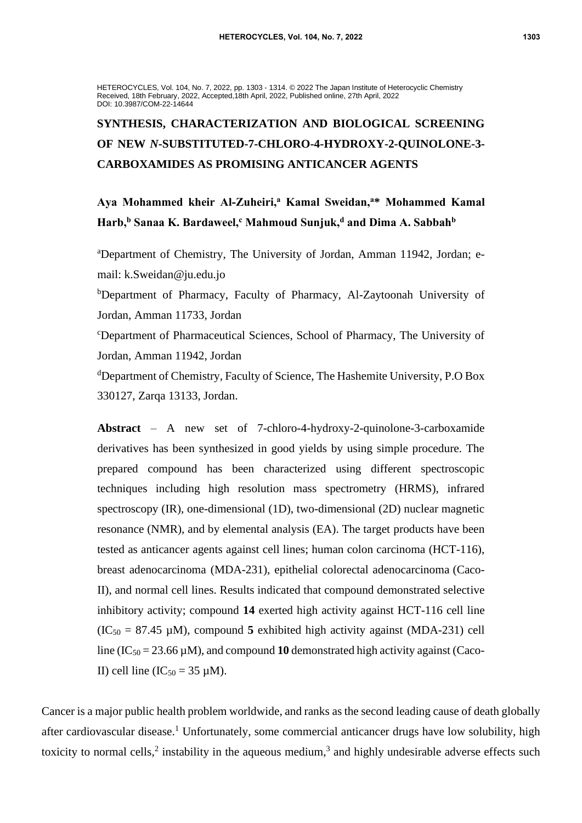HETEROCYCLES, Vol. 104, No. 7, 2022, pp. 1303 - 1314. © 2022 The Japan Institute of Heterocyclic Chemistry Received, 18th February, 2022, Accepted,18th April, 2022, Published online, 27th April, 2022 DOI: 10.3987/COM-22-14644

## **SYNTHESIS, CHARACTERIZATION AND BIOLOGICAL SCREENING OF NEW** *N***-SUBSTITUTED-7-CHLORO-4-HYDROXY-2-QUINOLONE-3- CARBOXAMIDES AS PROMISING ANTICANCER AGENTS**

**Aya Mohammed kheir Al-Zuheiri,<sup>a</sup> Kamal Sweidan,<sup>a</sup>\* Mohammed Kamal Harb,<sup>b</sup> Sanaa K. Bardaweel,<sup>c</sup> Mahmoud Sunjuk,<sup>d</sup> and Dima A. Sabbah<sup>b</sup>**

<sup>a</sup>Department of Chemistry, The University of Jordan, Amman 11942, Jordan; email: k.Sweidan@ju.edu.jo

<sup>b</sup>Department of Pharmacy, Faculty of Pharmacy, Al-Zaytoonah University of Jordan, Amman 11733, Jordan

<sup>c</sup>Department of Pharmaceutical Sciences, School of Pharmacy, The University of Jordan, Amman 11942, Jordan

<sup>d</sup>Department of Chemistry, Faculty of Science, The Hashemite University, P.O Box 330127, Zarqa 13133, Jordan.

**Abstract** – A new set of 7-chloro-4-hydroxy-2-quinolone-3-carboxamide derivatives has been synthesized in good yields by using simple procedure. The prepared compound has been characterized using different spectroscopic techniques including high resolution mass spectrometry (HRMS), infrared spectroscopy (IR), one-dimensional (1D), two-dimensional (2D) nuclear magnetic resonance (NMR), and by elemental analysis (EA). The target products have been tested as anticancer agents against cell lines; human colon carcinoma (HCT-116), breast adenocarcinoma (MDA-231), epithelial colorectal adenocarcinoma (Caco-II), and normal cell lines. Results indicated that compound demonstrated selective inhibitory activity; compound **14** exerted high activity against HCT-116 cell line  $(IC<sub>50</sub> = 87.45 \mu M)$ , compound 5 exhibited high activity against (MDA-231) cell line  $(IC_{50} = 23.66 \,\mu\text{M})$ , and compound 10 demonstrated high activity against (Caco-II) cell line (IC<sub>50</sub> = 35  $\mu$ M).

Cancer is a major public health problem worldwide, and ranks as the second leading cause of death globally after cardiovascular disease.<sup>1</sup> Unfortunately, some commercial anticancer drugs have low solubility, high toxicity to normal cells,<sup>2</sup> instability in the aqueous medium,<sup>3</sup> and highly undesirable adverse effects such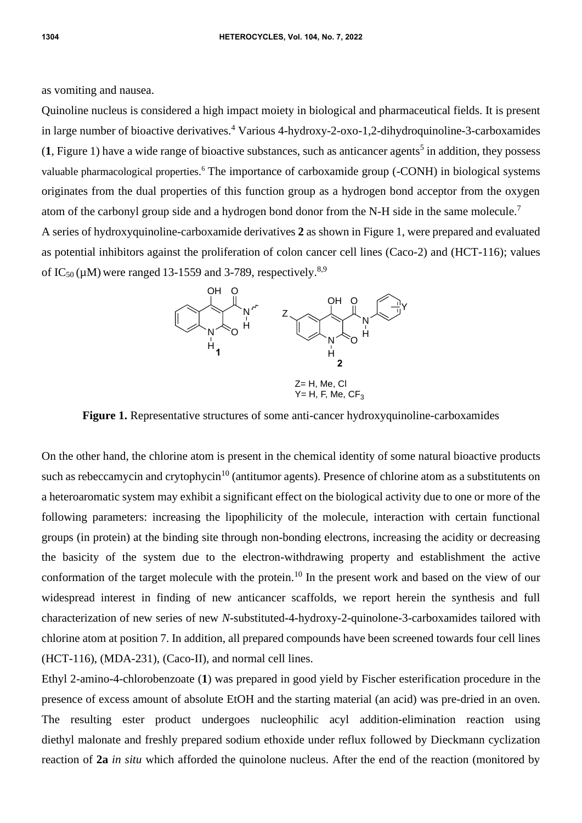as vomiting and nausea.

Quinoline nucleus is considered a high impact moiety in biological and pharmaceutical fields. It is present in large number of bioactive derivatives.<sup>4</sup> Various 4-hydroxy-2-oxo-1,2-dihydroquinoline-3-carboxamides  $(1,$  Figure 1) have a wide range of bioactive substances, such as anticancer agents<sup>5</sup> in addition, they possess valuable pharmacological properties.<sup>6</sup> The importance of carboxamide group (-CONH) in biological systems originates from the dual properties of this function group as a hydrogen bond acceptor from the oxygen atom of the carbonyl group side and a hydrogen bond donor from the N-H side in the same molecule.<sup>7</sup> A series of hydroxyquinoline-carboxamide derivatives **2** as shown in Figure 1, were prepared and evaluated as potential inhibitors against the proliferation of colon cancer cell lines (Caco-2) and (HCT-116); values of IC<sub>50</sub> ( $\mu$ M) were ranged 13-1559 and 3-789, respectively.<sup>8,9</sup>



**Figure 1.** Representative structures of some anti-cancer hydroxyquinoline-carboxamides

On the other hand, the chlorine atom is present in the chemical identity of some natural bioactive products such as rebeccamycin and crytophycin<sup>10</sup> (antitumor agents). Presence of chlorine atom as a substitutents on a heteroaromatic system may exhibit a significant effect on the biological activity due to one or more of the following parameters: increasing the lipophilicity of the molecule, interaction with certain functional groups (in protein) at the binding site through non-bonding electrons, increasing the acidity or decreasing the basicity of the system due to the electron-withdrawing property and establishment the active conformation of the target molecule with the protein.<sup>10</sup> In the present work and based on the view of our widespread interest in finding of new anticancer scaffolds, we report herein the synthesis and full characterization of new series of new *N*-substituted-4-hydroxy-2-quinolone-3-carboxamides tailored with chlorine atom at position 7. In addition, all prepared compounds have been screened towards four cell lines (HCT-116), (MDA-231), (Caco-II), and normal cell lines.

Ethyl 2-amino-4-chlorobenzoate (**1**) was prepared in good yield by Fischer esterification procedure in the presence of excess amount of absolute EtOH and the starting material (an acid) was pre-dried in an oven. The resulting ester product undergoes nucleophilic acyl addition-elimination reaction using diethyl malonate and freshly prepared sodium ethoxide under reflux followed by Dieckmann cyclization reaction of **2a** *in situ* which afforded the quinolone nucleus. After the end of the reaction (monitored by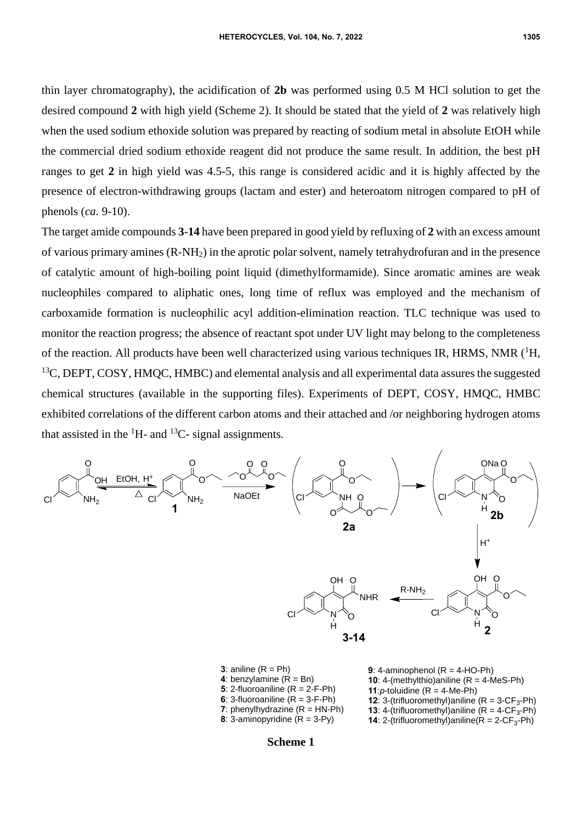thin layer chromatography), the acidification of **2b** was performed using 0.5 M HCl solution to get the desired compound **2** with high yield (Scheme 2). It should be stated that the yield of **2** was relatively high when the used sodium ethoxide solution was prepared by reacting of sodium metal in absolute EtOH while the commercial dried sodium ethoxide reagent did not produce the same result. In addition, the best pH ranges to get **2** in high yield was 4.5-5, this range is considered acidic and it is highly affected by the presence of electron-withdrawing groups (lactam and ester) and heteroatom nitrogen compared to pH of phenols (*ca.* 9-10).

The target amide compounds **3**-**14** have been prepared in good yield by refluxing of **2** with an excess amount of various primary amines (R-NH2) in the aprotic polar solvent, namely tetrahydrofuran and in the presence of catalytic amount of high-boiling point liquid (dimethylformamide). Since aromatic amines are weak nucleophiles compared to aliphatic ones, long time of reflux was employed and the mechanism of carboxamide formation is nucleophilic acyl addition-elimination reaction. TLC technique was used to monitor the reaction progress; the absence of reactant spot under UV light may belong to the completeness of the reaction. All products have been well characterized using various techniques IR, HRMS, NMR  $(^1H$ ,  $13C$ , DEPT, COSY, HMQC, HMBC) and elemental analysis and all experimental data assures the suggested chemical structures (available in the supporting files). Experiments of DEPT, COSY, HMQC, HMBC exhibited correlations of the different carbon atoms and their attached and /or neighboring hydrogen atoms that assisted in the  ${}^{1}H$ - and  ${}^{13}C$ - signal assignments.



| <b>3</b> : aniline $(R = Ph)$           | 9: 4-aminophenol $(R = 4-HO-Ph)$                             |
|-----------------------------------------|--------------------------------------------------------------|
| 4: benzylamine $(R = Bn)$               | <b>10:</b> 4-(methylthio) aniline $(R = 4$ -MeS-Ph)          |
| 5: 2-fluoroaniline $(R = 2-F-Ph)$       | <b>11:</b> $p$ -toluidine (R = 4-Me-Ph)                      |
| 6: 3-fluoroaniline $(R = 3-F-Ph)$       | <b>12:</b> 3-(trifluoromethyl) aniline ( $R = 3-CF_3-Ph$ )   |
| 7: phenylhydrazine $(R = HN\text{-}Ph)$ | <b>13:</b> 4-(trifluoromethyl) aniline $(R = 4 - CF_3 - Ph)$ |
| 8: 3-aminopyridine $(R = 3-Py)$         | <b>14:</b> 2-(trifluoromethyl)aniline( $R = 2 - CF_3 - Ph$ ) |

**Scheme 1**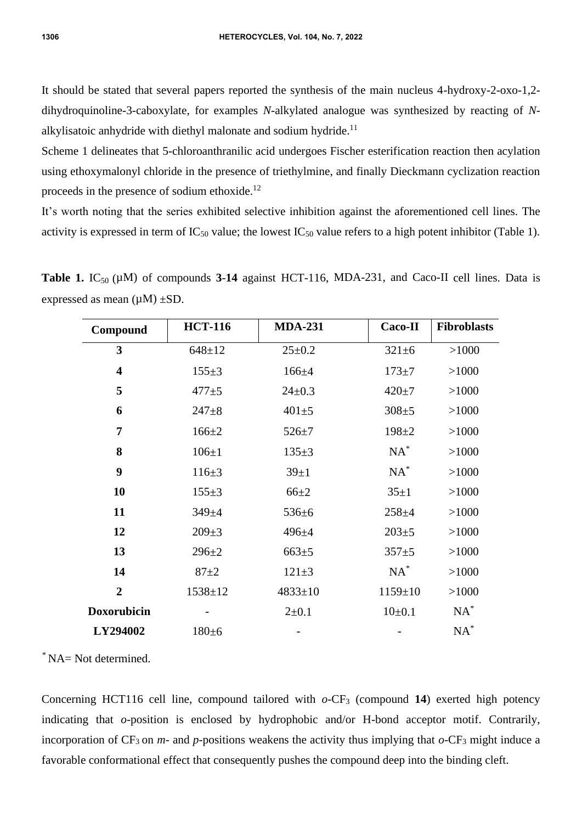It should be stated that several papers reported the synthesis of the main nucleus 4-hydroxy-2-oxo-1,2 dihydroquinoline-3-caboxylate, for examples *N*-alkylated analogue was synthesized by reacting of *N*alkylisatoic anhydride with diethyl malonate and sodium hydride.<sup>11</sup>

Scheme 1 delineates that 5-chloroanthranilic acid undergoes Fischer esterification reaction then acylation using ethoxymalonyl chloride in the presence of triethylmine, and finally Dieckmann cyclization reaction proceeds in the presence of sodium ethoxide.<sup>12</sup>

It's worth noting that the series exhibited selective inhibition against the aforementioned cell lines. The activity is expressed in term of  $IC_{50}$  value; the lowest  $IC_{50}$  value refers to a high potent inhibitor (Table 1).

**Table 1.** IC<sub>50</sub> ( $\mu$ M) of compounds **3-14** against HCT-116, MDA-231, and Caco-II cell lines. Data is expressed as mean  $(\mu M) \pm SD$ .

| Compound                | <b>HCT-116</b> | <b>MDA-231</b> | <b>Caco-II</b> | <b>Fibroblasts</b> |
|-------------------------|----------------|----------------|----------------|--------------------|
| 3                       | $648 + 12$     | $25 \pm 0.2$   | $321 \pm 6$    | >1000              |
| $\overline{\mathbf{4}}$ | $155+3$        | $166 + 4$      | $173 + 7$      | >1000              |
| 5                       | $477 + 5$      | $24 \pm 0.3$   | $420 + 7$      | >1000              |
| 6                       | $247 + 8$      | $401 + 5$      | $308 + 5$      | >1000              |
| 7                       | $166 + 2$      | $526 + 7$      | $198 + 2$      | >1000              |
| 8                       | $106 \pm 1$    | $135+3$        | $NA^*$         | >1000              |
| 9                       | $116 \pm 3$    | $39+1$         | $NA^*$         | >1000              |
| 10                      | $155+3$        | $66 + 2$       | $35 \pm 1$     | >1000              |
| 11                      | $349 + 4$      | $536 \pm 6$    | $258 + 4$      | >1000              |
| 12                      | $209 \pm 3$    | $496 + 4$      | $203 + 5$      | >1000              |
| 13                      | $296 + 2$      | $663 \pm 5$    | $357 + 5$      | >1000              |
| 14                      | $87 + 2$       | $121 \pm 3$    | $NA^*$         | >1000              |
| $\overline{2}$          | $1538 \pm 12$  | $4833 \pm 10$  | $1159 \pm 10$  | >1000              |
| <b>Doxorubicin</b>      |                | $2 \pm 0.1$    | $10+0.1$       | $NA^*$             |
| LY294002                | $180+6$        |                |                | $NA^*$             |
|                         |                |                |                |                    |

\* NA= Not determined.

Concerning HCT116 cell line, compound tailored with  $o$ -CF<sub>3</sub> (compound 14) exerted high potency indicating that *o*-position is enclosed by hydrophobic and/or H-bond acceptor motif. Contrarily, incorporation of  $CF_3$  on *m*- and *p*-positions weakens the activity thus implying that  $o$ -CF<sub>3</sub> might induce a favorable conformational effect that consequently pushes the compound deep into the binding cleft.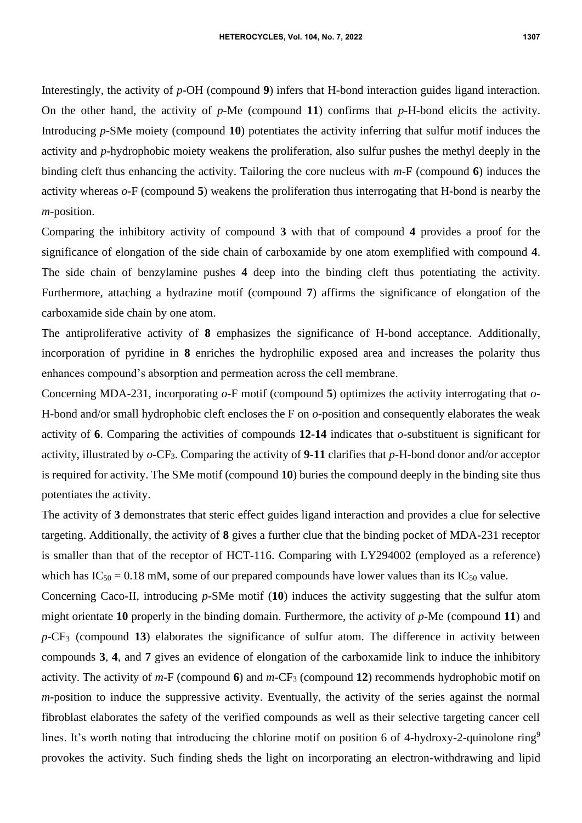Interestingly, the activity of *p*-OH (compound **9**) infers that H-bond interaction guides ligand interaction. On the other hand, the activity of *p*-Me (compound **11**) confirms that *p*-H-bond elicits the activity. Introducing *p*-SMe moiety (compound **10**) potentiates the activity inferring that sulfur motif induces the activity and *p*-hydrophobic moiety weakens the proliferation, also sulfur pushes the methyl deeply in the binding cleft thus enhancing the activity. Tailoring the core nucleus with *m*-F (compound **6**) induces the activity whereas *o*-F (compound **5**) weakens the proliferation thus interrogating that H-bond is nearby the *m*-position.

Comparing the inhibitory activity of compound **3** with that of compound **4** provides a proof for the significance of elongation of the side chain of carboxamide by one atom exemplified with compound **4**. The side chain of benzylamine pushes **4** deep into the binding cleft thus potentiating the activity. Furthermore, attaching a hydrazine motif (compound **7**) affirms the significance of elongation of the carboxamide side chain by one atom.

The antiproliferative activity of **8** emphasizes the significance of H-bond acceptance. Additionally, incorporation of pyridine in **8** enriches the hydrophilic exposed area and increases the polarity thus enhances compound's absorption and permeation across the cell membrane.

Concerning MDA-231, incorporating *o*-F motif (compound **5**) optimizes the activity interrogating that *o*-H-bond and/or small hydrophobic cleft encloses the F on *o*-position and consequently elaborates the weak activity of **6**. Comparing the activities of compounds **12-14** indicates that *o*-substituent is significant for activity, illustrated by *o*-CF3. Comparing the activity of **9-11** clarifies that *p*-H-bond donor and/or acceptor is required for activity. The SMe motif (compound **10**) buries the compound deeply in the binding site thus potentiates the activity.

The activity of **3** demonstrates that steric effect guides ligand interaction and provides a clue for selective targeting. Additionally, the activity of **8** gives a further clue that the binding pocket of MDA-231 receptor is smaller than that of the receptor of HCT-116. Comparing with LY294002 (employed as a reference) which has  $IC_{50} = 0.18$  mM, some of our prepared compounds have lower values than its  $IC_{50}$  value.

Concerning Caco-II, introducing *p*-SMe motif (**10**) induces the activity suggesting that the sulfur atom might orientate **10** properly in the binding domain. Furthermore, the activity of *p*-Me (compound **11**) and *p*-CF<sup>3</sup> (compound **13**) elaborates the significance of sulfur atom. The difference in activity between compounds **3**, **4**, and **7** gives an evidence of elongation of the carboxamide link to induce the inhibitory activity. The activity of *m*-F (compound **6**) and *m*-CF<sup>3</sup> (compound **12**) recommends hydrophobic motif on *m*-position to induce the suppressive activity. Eventually, the activity of the series against the normal fibroblast elaborates the safety of the verified compounds as well as their selective targeting cancer cell lines. It's worth noting that introducing the chlorine motif on position 6 of 4-hydroxy-2-quinolone ring<sup>9</sup> provokes the activity. Such finding sheds the light on incorporating an electron-withdrawing and lipid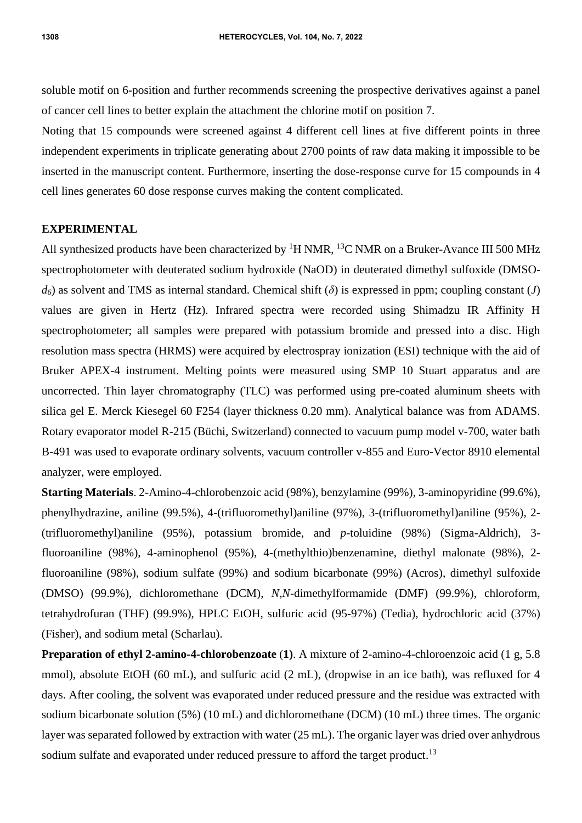soluble motif on 6-position and further recommends screening the prospective derivatives against a panel of cancer cell lines to better explain the attachment the chlorine motif on position 7.

Noting that 15 compounds were screened against 4 different cell lines at five different points in three independent experiments in triplicate generating about 2700 points of raw data making it impossible to be inserted in the manuscript content. Furthermore, inserting the dose-response curve for 15 compounds in 4 cell lines generates 60 dose response curves making the content complicated.

## **EXPERIMENTAL**

All synthesized products have been characterized by  ${}^{1}H$  NMR,  ${}^{13}C$  NMR on a Bruker-Avance III 500 MHz spectrophotometer with deuterated sodium hydroxide (NaOD) in deuterated dimethyl sulfoxide (DMSO $d\delta$  as solvent and TMS as internal standard. Chemical shift  $(\delta)$  is expressed in ppm; coupling constant (*J*) values are given in Hertz (Hz). Infrared spectra were recorded using Shimadzu IR Affinity H spectrophotometer; all samples were prepared with potassium bromide and pressed into a disc. High resolution mass spectra (HRMS) were acquired by electrospray ionization (ESI) technique with the aid of Bruker APEX-4 instrument. Melting points were measured using SMP 10 Stuart apparatus and are uncorrected. Thin layer chromatography (TLC) was performed using pre-coated aluminum sheets with silica gel E. Merck Kiesegel 60 F254 (layer thickness 0.20 mm). Analytical balance was from ADAMS. Rotary evaporator model R-215 (Büchi, Switzerland) connected to vacuum pump model v-700, water bath B-491 was used to evaporate ordinary solvents, vacuum controller v-855 and Euro-Vector 8910 elemental analyzer, were employed.

**Starting Materials**. 2-Amino-4-chlorobenzoic acid (98%), benzylamine (99%), 3-aminopyridine (99.6%), phenylhydrazine, aniline (99.5%), 4-(trifluoromethyl)aniline (97%), 3-(trifluoromethyl)aniline (95%), 2- (trifluoromethyl)aniline (95%), potassium bromide, and *p*-toluidine (98%) (Sigma-Aldrich), 3 fluoroaniline (98%), 4-aminophenol (95%), 4-(methylthio)benzenamine, diethyl malonate (98%), 2 fluoroaniline (98%), sodium sulfate (99%) and sodium bicarbonate (99%) (Acros), dimethyl sulfoxide (DMSO) (99.9%), dichloromethane (DCM), *N,N*-dimethylformamide (DMF) (99.9%), chloroform, tetrahydrofuran (THF) (99.9%), HPLC EtOH, sulfuric acid (95-97%) (Tedia), hydrochloric acid (37%) (Fisher), and sodium metal (Scharlau).

**Preparation of ethyl 2-amino-4-chlorobenzoate** (**1)**. A mixture of 2-amino-4-chloroenzoic acid (1 g, 5.8 mmol), absolute EtOH (60 mL), and sulfuric acid (2 mL), (dropwise in an ice bath), was refluxed for 4 days. After cooling, the solvent was evaporated under reduced pressure and the residue was extracted with sodium bicarbonate solution (5%) (10 mL) and dichloromethane (DCM) (10 mL) three times. The organic layer was separated followed by extraction with water (25 mL). The organic layer was dried over anhydrous sodium sulfate and evaporated under reduced pressure to afford the target product.<sup>13</sup>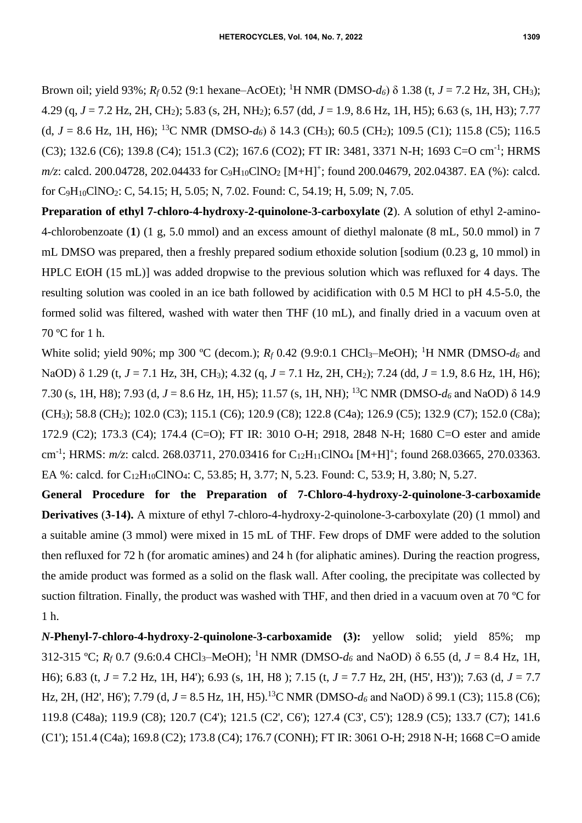Brown oil; yield 93%;  $R_f$  0.52 (9:1 hexane–AcOEt); <sup>1</sup>H NMR (DMSO-*d*<sub>6</sub>)  $\delta$  1.38 (t, *J* = 7.2 Hz, 3H, CH<sub>3</sub>); 4.29 (q, *J* = 7.2 Hz, 2H, CH2); 5.83 (s, 2H, NH2); 6.57 (dd, *J* = 1.9, 8.6 Hz, 1H, H5); 6.63 (s, 1H, H3); 7.77 (d,  $J = 8.6$  Hz, 1H, H6); <sup>13</sup>C NMR (DMSO- $d_6$ )  $\delta$  14.3 (CH<sub>3</sub>); 60.5 (CH<sub>2</sub>); 109.5 (C1); 115.8 (C5); 116.5 (C3); 132.6 (C6); 139.8 (C4); 151.3 (C2); 167.6 (CO2); FT IR: 3481, 3371 N-H; 1693 C=O cm<sup>-1</sup>; HRMS *m/z*: calcd. 200.04728, 202.04433 for C<sub>9</sub>H<sub>10</sub>ClNO<sub>2</sub> [M+H]<sup>+</sup>; found 200.04679, 202.04387. EA (%): calcd. for C9H10ClNO2: C, 54.15; H, 5.05; N, 7.02. Found: C, 54.19; H, 5.09; N, 7.05.

**Preparation of ethyl 7-chloro-4-hydroxy-2-quinolone-3-carboxylate** (**2**). A solution of ethyl 2-amino-4-chlorobenzoate (**1**) (1 g, 5.0 mmol) and an excess amount of diethyl malonate (8 mL, 50.0 mmol) in 7 mL DMSO was prepared, then a freshly prepared sodium ethoxide solution [sodium (0.23 g, 10 mmol) in HPLC EtOH (15 mL)] was added dropwise to the previous solution which was refluxed for 4 days. The resulting solution was cooled in an ice bath followed by acidification with 0.5 M HCl to pH 4.5-5.0, the formed solid was filtered, washed with water then THF (10 mL), and finally dried in a vacuum oven at 70 ºC for 1 h.

White solid; yield 90%; mp 300 °C (decom.);  $R_f$  0.42 (9.9:0.1 CHCl<sub>3</sub>–MeOH); <sup>1</sup>H NMR (DMSO- $d_6$  and NaOD) δ 1.29 (t, *J* = 7.1 Hz, 3H, CH<sub>3</sub>); 4.32 (g, *J* = 7.1 Hz, 2H, CH<sub>2</sub>); 7.24 (dd, *J* = 1.9, 8.6 Hz, 1H, H6); 7.30 (s, 1H, H8); 7.93 (d, *J* = 8.6 Hz, 1H, H5); 11.57 (s, 1H, NH); <sup>13</sup>C NMR (DMSO-*d<sup>6</sup>* and NaOD) δ 14.9 (CH<sub>3</sub>); 58.8 (CH<sub>2</sub>); 102.0 (C3); 115.1 (C6); 120.9 (C8); 122.8 (C4a); 126.9 (C5); 132.9 (C7); 152.0 (C8a); 172.9 (C2); 173.3 (C4); 174.4 (C=O); FT IR: 3010 O-H; 2918, 2848 N-H; 1680 C=O ester and amide cm<sup>-1</sup>; HRMS: *m/z*: calcd. 268.03711, 270.03416 for C<sub>12</sub>H<sub>11</sub>ClNO<sub>4</sub> [M+H]<sup>+</sup>; found 268.03665, 270.03363. EA %: calcd. for C<sub>12</sub>H<sub>10</sub>ClNO<sub>4</sub>: C, 53.85; H, 3.77; N, 5.23. Found: C, 53.9; H, 3.80; N, 5.27.

**General Procedure for the Preparation of 7-Chloro-4-hydroxy-2-quinolone-3-carboxamide Derivatives** (**3-14).** A mixture of ethyl 7-chloro-4-hydroxy-2-quinolone-3-carboxylate (20) (1 mmol) and a suitable amine (3 mmol) were mixed in 15 mL of THF. Few drops of DMF were added to the solution then refluxed for 72 h (for aromatic amines) and 24 h (for aliphatic amines). During the reaction progress, the amide product was formed as a solid on the flask wall. After cooling, the precipitate was collected by suction filtration. Finally, the product was washed with THF, and then dried in a vacuum oven at 70 ºC for 1 h.

*N***-Phenyl-7-chloro-4-hydroxy-2-quinolone-3-carboxamide (3):** yellow solid; yield 85%; mp 312-315 °C;  $R_f$  0.7 (9.6:0.4 CHCl<sub>3</sub>–MeOH); <sup>1</sup>H NMR (DMSO- $d_6$  and NaOD)  $\delta$  6.55 (d,  $J = 8.4$  Hz, 1H, H6); 6.83 (t, *J* = 7.2 Hz, 1H, H4'); 6.93 (s, 1H, H8 ); 7.15 (t, *J* = 7.7 Hz, 2H, (H5', H3')); 7.63 (d, *J* = 7.7 Hz, 2H, (H2', H6'); 7.79 (d,  $J = 8.5$  Hz, 1H, H5).<sup>13</sup>C NMR (DMSO- $d_6$  and NaOD)  $\delta$  99.1 (C3); 115.8 (C6); 119.8 (C48a); 119.9 (C8); 120.7 (C4'); 121.5 (C2', C6'); 127.4 (C3', C5'); 128.9 (C5); 133.7 (C7); 141.6 (C1'); 151.4 (C4a); 169.8 (C2); 173.8 (C4); 176.7 (CONH); FT IR: 3061 O-H; 2918 N-H; 1668 C=O amide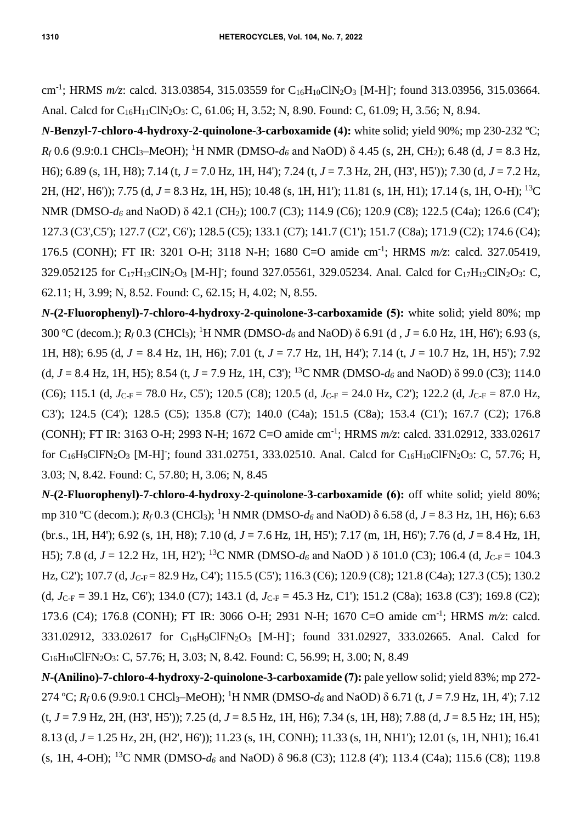cm<sup>-1</sup>; HRMS *m/z*: calcd. 313.03854, 315.03559 for C<sub>16</sub>H<sub>10</sub>ClN<sub>2</sub>O<sub>3</sub> [M-H]<sup>-</sup>; found 313.03956, 315.03664. Anal. Calcd for C<sub>16</sub>H<sub>11</sub>ClN<sub>2</sub>O<sub>3</sub>: C, 61.06; H, 3.52; N, 8.90. Found: C, 61.09; H, 3.56; N, 8.94.

*N***-Benzyl-7-chloro-4-hydroxy-2-quinolone-3-carboxamide (4):** white solid; yield 90%; mp 230-232 ºC;  $R_f$  0.6 (9.9:0.1 CHCl<sub>3</sub>–MeOH); <sup>1</sup>H NMR (DMSO- $d_6$  and NaOD)  $\delta$  4.45 (s, 2H, CH<sub>2</sub>); 6.48 (d, *J* = 8.3 Hz, H6); 6.89 (s, 1H, H8); 7.14 (t, *J* = 7.0 Hz, 1H, H4'); 7.24 (t, *J* = 7.3 Hz, 2H, (H3', H5')); 7.30 (d, *J* = 7.2 Hz, 2H, (H2', H6')); 7.75 (d, *J* = 8.3 Hz, 1H, H5); 10.48 (s, 1H, H1'); 11.81 (s, 1H, H1); 17.14 (s, 1H, O-H); <sup>13</sup>C NMR (DMSO-*d*<sub>6</sub> and NaOD) δ 42.1 (CH<sub>2</sub>); 100.7 (C3); 114.9 (C6); 120.9 (C8); 122.5 (C4a); 126.6 (C4'); 127.3 (C3',C5'); 127.7 (C2', C6'); 128.5 (C5); 133.1 (C7); 141.7 (C1'); 151.7 (C8a); 171.9 (C2); 174.6 (C4); 176.5 (CONH); FT IR: 3201 O-H; 3118 N-H; 1680 C=O amide cm-1 ; HRMS *m/z*: calcd. 327.05419, 329.052125 for C<sub>17</sub>H<sub>13</sub>ClN<sub>2</sub>O<sub>3</sub> [M-H]; found 327.05561, 329.05234. Anal. Calcd for C<sub>17</sub>H<sub>12</sub>ClN<sub>2</sub>O<sub>3</sub>: C, 62.11; H, 3.99; N, 8.52. Found: C, 62.15; H, 4.02; N, 8.55.

*N***-(2-Fluorophenyl)-7-chloro-4-hydroxy-2-quinolone-3-carboxamide (5):** white solid; yield 80%; mp 300 °C (decom.);  $R_f$  0.3 (CHCl<sub>3</sub>); <sup>1</sup>H NMR (DMSO-*d*<sub>6</sub> and NaOD) δ 6.91 (d, *J* = 6.0 Hz, 1H, H6'); 6.93 (s, 1H, H8); 6.95 (d, *J =* 8.4 Hz, 1H, H6); 7.01 (t, *J* = 7.7 Hz, 1H, H4'); 7.14 (t, *J* = 10.7 Hz, 1H, H5'); 7.92 (d,  $J = 8.4$  Hz, 1H, H5); 8.54 (t,  $J = 7.9$  Hz, 1H, C3'); <sup>13</sup>C NMR (DMSO- $d_6$  and NaOD)  $\delta$  99.0 (C3); 114.0 (C6); 115.1 (d,  $J_{\text{C-F}}$  = 78.0 Hz, C5'); 120.5 (C8); 120.5 (d,  $J_{\text{C-F}}$  = 24.0 Hz, C2'); 122.2 (d,  $J_{\text{C-F}}$  = 87.0 Hz, C3'); 124.5 (C4'); 128.5 (C5); 135.8 (C7); 140.0 (C4a); 151.5 (C8a); 153.4 (C1'); 167.7 (C2); 176.8 (CONH); FT IR: 3163 O-H; 2993 N-H; 1672 C=O amide cm-1 ; HRMS *m/z*: calcd. 331.02912, 333.02617 for  $C_{16}H_9CIFN_2O_3$  [M-H]; found 331.02751, 333.02510. Anal. Calcd for  $C_{16}H_{10}CIFN_2O_3$ : C, 57.76; H, 3.03; N, 8.42. Found: C, 57.80; H, 3.06; N, 8.45

*N***-(2-Fluorophenyl)-7-chloro-4-hydroxy-2-quinolone-3-carboxamide (6):** off white solid; yield 80%; mp 310 ºC (decom.); *R<sup>f</sup>* 0.3 (CHCl3); <sup>1</sup>H NMR (DMSO-*d<sup>6</sup>* and NaOD) δ 6.58 (d, *J* = 8.3 Hz, 1H, H6); 6.63 (br.s., 1H, H4'); 6.92 (s, 1H, H8); 7.10 (d, *J* = 7.6 Hz, 1H, H5'); 7.17 (m, 1H, H6'); 7.76 (d, *J* = 8.4 Hz, 1H, H5); 7.8 (d,  $J = 12.2$  Hz, 1H, H2'); <sup>13</sup>C NMR (DMSO- $d_6$  and NaOD )  $\delta$  101.0 (C3); 106.4 (d,  $J_{C-F} = 104.3$ Hz, C2'); 107.7 (d, *J<sub>C-F</sub>* = 82.9 Hz, C4'); 115.5 (C5'); 116.3 (C6); 120.9 (C8); 121.8 (C4a); 127.3 (C5); 130.2 (d,  $J_{C-F}$  = 39.1 Hz, C6'); 134.0 (C7); 143.1 (d,  $J_{C-F}$  = 45.3 Hz, C1'); 151.2 (C8a); 163.8 (C3'); 169.8 (C2); 173.6 (C4); 176.8 (CONH); FT IR: 3066 O-H; 2931 N-H; 1670 C=O amide cm-1 ; HRMS *m/z*: calcd. 331.02912, 333.02617 for C<sub>16</sub>H<sub>9</sub>ClFN<sub>2</sub>O<sub>3</sub> [M-H]; found 331.02927, 333.02665. Anal. Calcd for C16H10ClFN2O3: C, 57.76; H, 3.03; N, 8.42. Found: C, 56.99; H, 3.00; N, 8.49

*N***-(Anilino)-7-chloro-4-hydroxy-2-quinolone-3-carboxamide (7):** pale yellow solid; yield 83%; mp 272- 274 °C;  $R_f$  0.6 (9.9:0.1 CHCl<sub>3</sub>–MeOH); <sup>1</sup>H NMR (DMSO- $d_6$  and NaOD)  $\delta$  6.71 (t, *J* = 7.9 Hz, 1H, 4'); 7.12 (t, *J* = 7.9 Hz, 2H, (H3', H5')); 7.25 (d, *J* = 8.5 Hz, 1H, H6); 7.34 (s, 1H, H8); 7.88 (d, *J* = 8.5 Hz; 1H, H5); 8.13 (d, *J* = 1.25 Hz, 2H, (H2', H6')); 11.23 (s, 1H, CONH); 11.33 (s, 1H, NH1'); 12.01 (s, 1H, NH1); 16.41 (s, 1H, 4-OH); <sup>13</sup>C NMR (DMSO-*d<sup>6</sup>* and NaOD) δ 96.8 (C3); 112.8 (4'); 113.4 (C4a); 115.6 (C8); 119.8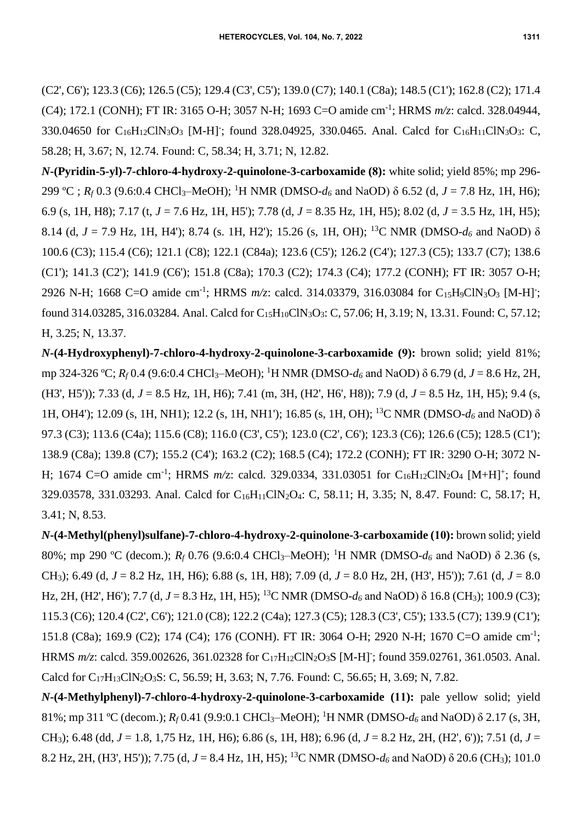(C2', C6'); 123.3 (C6); 126.5 (C5); 129.4 (C3', C5'); 139.0 (C7); 140.1 (C8a); 148.5 (C1'); 162.8 (C2); 171.4 (C4); 172.1 (CONH); FT IR: 3165 O-H; 3057 N-H; 1693 C=O amide cm-1 ; HRMS *m/z*: calcd. 328.04944, 330.04650 for  $C_{16}H_{12}CIN_3O_3$  [M-H]; found 328.04925, 330.0465. Anal. Calcd for  $C_{16}H_{11}CIN_3O_3$ : C, 58.28; H, 3.67; N, 12.74. Found: C, 58.34; H, 3.71; N, 12.82.

*N***-(Pyridin-5-yl)-7-chloro-4-hydroxy-2-quinolone-3-carboxamide (8):** white solid; yield 85%; mp 296- 299 °C ;  $R_f$  0.3 (9.6:0.4 CHCl<sub>3</sub>–MeOH); <sup>1</sup>H NMR (DMSO- $d_6$  and NaOD) δ 6.52 (d, *J* = 7.8 Hz, 1H, H6); 6.9 (s, 1H, H8); 7.17 (t, *J* = 7.6 Hz, 1H, H5'); 7.78 (d, *J* = 8.35 Hz, 1H, H5); 8.02 (d, *J* = 3.5 Hz, 1H, H5); 8.14 (d, *J* = 7.9 Hz, 1H, H4'); 8.74 (s. 1H, H2'); 15.26 (s, 1H, OH); <sup>13</sup>C NMR (DMSO-*d<sup>6</sup>* and NaOD) δ 100.6 (C3); 115.4 (C6); 121.1 (C8); 122.1 (C84a); 123.6 (C5'); 126.2 (C4'); 127.3 (C5); 133.7 (C7); 138.6 (C1'); 141.3 (C2'); 141.9 (C6'); 151.8 (C8a); 170.3 (C2); 174.3 (C4); 177.2 (CONH); FT IR: 3057 O-H; 2926 N-H; 1668 C=O amide cm<sup>-1</sup>; HRMS  $m/z$ : calcd. 314.03379, 316.03084 for C<sub>15</sub>H<sub>9</sub>ClN<sub>3</sub>O<sub>3</sub> [M-H]<sup>-</sup>; found 314.03285, 316.03284. Anal. Calcd for C<sub>15</sub>H<sub>10</sub>ClN<sub>3</sub>O<sub>3</sub>: C, 57.06; H, 3.19; N, 13.31. Found: C, 57.12; H, 3.25; N, 13.37.

*N***-(4-Hydroxyphenyl)-7-chloro-4-hydroxy-2-quinolone-3-carboxamide (9):** brown solid; yield 81%; mp 324-326 °C;  $R_f$  0.4 (9.6:0.4 CHCl<sub>3</sub>–MeOH); <sup>1</sup>H NMR (DMSO- $d_6$  and NaOD)  $\delta$  6.79 (d, *J* = 8.6 Hz, 2H, (H3', H5')); 7.33 (d, *J* = 8.5 Hz, 1H, H6); 7.41 (m, 3H, (H2', H6', H8)); 7.9 (d, *J* = 8.5 Hz, 1H, H5); 9.4 (s, 1H, OH4'); 12.09 (s, 1H, NH1); 12.2 (s, 1H, NH1'); 16.85 (s, 1H, OH); <sup>13</sup>C NMR (DMSO-*d<sup>6</sup>* and NaOD) δ 97.3 (C3); 113.6 (C4a); 115.6 (C8); 116.0 (C3', C5'); 123.0 (C2', C6'); 123.3 (C6); 126.6 (C5); 128.5 (C1'); 138.9 (C8a); 139.8 (C7); 155.2 (C4'); 163.2 (C2); 168.5 (C4); 172.2 (CONH); FT IR: 3290 O-H; 3072 N-H; 1674 C=O amide cm<sup>-1</sup>; HRMS *m/z*: calcd. 329.0334, 331.03051 for C<sub>16</sub>H<sub>12</sub>ClN<sub>2</sub>O<sub>4</sub> [M+H]<sup>+</sup>; found 329.03578, 331.03293. Anal. Calcd for C16H11ClN2O4: C, 58.11; H, 3.35; N, 8.47. Found: C, 58.17; H, 3.41; N, 8.53.

*N***-(4-Methyl(phenyl)sulfane)-7-chloro-4-hydroxy-2-quinolone-3-carboxamide (10):** brown solid; yield 80%; mp 290 ºC (decom.); *R<sup>f</sup>* 0.76 (9.6:0.4 CHCl3–MeOH); <sup>1</sup>H NMR (DMSO-*d<sup>6</sup>* and NaOD) δ 2.36 (s, CH3); 6.49 (d, *J* = 8.2 Hz, 1H, H6); 6.88 (s, 1H, H8); 7.09 (d, *J* = 8.0 Hz, 2H, (H3', H5')); 7.61 (d, *J* = 8.0 Hz, 2H, (H2', H6'); 7.7 (d, *J* = 8.3 Hz, 1H, H5); <sup>13</sup>C NMR (DMSO-*d*<sub>6</sub> and NaOD) δ 16.8 (CH<sub>3</sub>); 100.9 (C3); 115.3 (C6); 120.4 (C2', C6'); 121.0 (C8); 122.2 (C4a); 127.3 (C5); 128.3 (C3', C5'); 133.5 (C7); 139.9 (C1'); 151.8 (C8a); 169.9 (C2); 174 (C4); 176 (CONH). FT IR: 3064 O-H; 2920 N-H; 1670 C=O amide cm<sup>-1</sup>; HRMS  $m/z$ : calcd. 359.002626, 361.02328 for C<sub>17</sub>H<sub>12</sub>ClN<sub>2</sub>O<sub>3</sub>S [M-H]<sup>-</sup>; found 359.02761, 361.0503. Anal. Calcd for  $C_{17}H_{13}CIN_2O_3S$ : C, 56.59; H, 3.63; N, 7.76. Found: C, 56.65; H, 3.69; N, 7.82.

*N***-(4-Methylphenyl)-7-chloro-4-hydroxy-2-quinolone-3-carboxamide (11):** pale yellow solid; yield 81%; mp 311 ºC (decom.); *R<sup>f</sup>* 0.41 (9.9:0.1 CHCl3–MeOH); <sup>1</sup>H NMR (DMSO-*d<sup>6</sup>* and NaOD) δ 2.17 (s, 3H, CH3); 6.48 (dd, *J* = 1.8, 1,75 Hz, 1H, H6); 6.86 (s, 1H, H8); 6.96 (d, *J* = 8.2 Hz, 2H, (H2', 6')); 7.51 (d, *J* = 8.2 Hz, 2H, (H3', H5')); 7.75 (d, *J* = 8.4 Hz, 1H, H5); <sup>13</sup>C NMR (DMSO-*d<sup>6</sup>* and NaOD) δ 20.6 (CH3); 101.0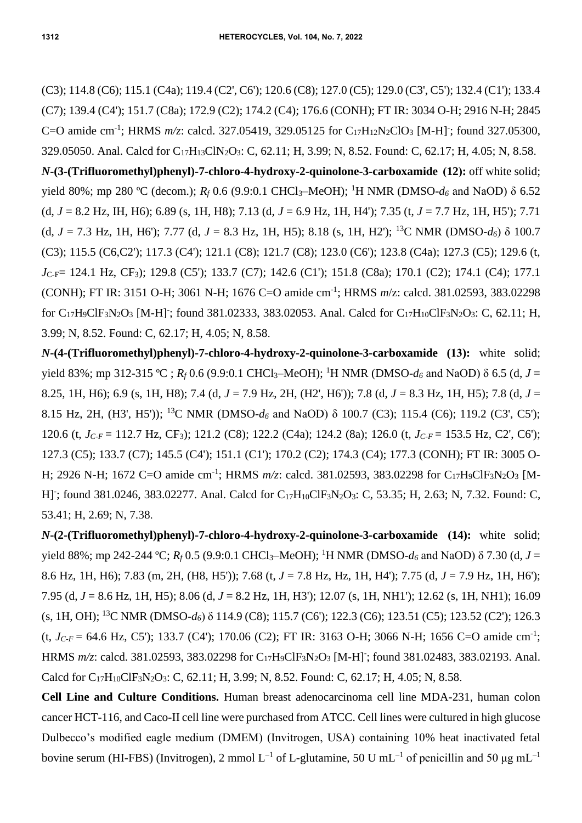(C3); 114.8 (C6); 115.1 (C4a); 119.4 (C2', C6'); 120.6 (C8); 127.0 (C5); 129.0 (C3', C5'); 132.4 (C1'); 133.4 (C7); 139.4 (C4'); 151.7 (C8a); 172.9 (C2); 174.2 (C4); 176.6 (CONH); FT IR: 3034 O-H; 2916 N-H; 2845 C=O amide cm<sup>-1</sup>; HRMS  $m/z$ : calcd. 327.05419, 329.05125 for C<sub>17</sub>H<sub>12</sub>N<sub>2</sub>ClO<sub>3</sub> [M-H]<sup>-</sup>; found 327.05300, 329.05050. Anal. Calcd for C17H13ClN2O3: C, 62.11; H, 3.99; N, 8.52. Found: C, 62.17; H, 4.05; N, 8.58. *N***-(3-(Trifluoromethyl)phenyl)-7-chloro-4-hydroxy-2-quinolone-3-carboxamide (12):** off white solid; yield 80%; mp 280 ºC (decom.); *R<sup>f</sup>* 0.6 (9.9:0.1 CHCl3–MeOH); <sup>1</sup>H NMR (DMSO-*d<sup>6</sup>* and NaOD) δ 6.52 (d, *J* = 8.2 Hz, IH, H6); 6.89 (s, 1H, H8); 7.13 (d, *J* = 6.9 Hz, 1H, H4'); 7.35 (t, *J* = 7.7 Hz, 1H, H5'); 7.71 (d,  $J = 7.3$  Hz, 1H, H6'); 7.77 (d,  $J = 8.3$  Hz, 1H, H5); 8.18 (s, 1H, H2'); <sup>13</sup>C NMR (DMSO- $d_6$ )  $\delta$  100.7 (C3); 115.5 (C6,C2'); 117.3 (C4'); 121.1 (C8); 121.7 (C8); 123.0 (C6'); 123.8 (C4a); 127.3 (C5); 129.6 (t, *J*<sub>C-F</sub>= 124.1 Hz, CF<sub>3</sub>); 129.8 (C5'); 133.7 (C7); 142.6 (C1'); 151.8 (C8a); 170.1 (C2); 174.1 (C4); 177.1 (CONH); FT IR: 3151 O-H; 3061 N-H; 1676 C=O amide cm-1 ; HRMS *m*/z: calcd. 381.02593, 383.02298 for  $C_{17}H_9CH_3N_2O_3$  [M-H]; found 381.02333, 383.02053. Anal. Calcd for  $C_{17}H_{10}CH_3N_2O_3$ : C, 62.11; H, 3.99; N, 8.52. Found: C, 62.17; H, 4.05; N, 8.58.

*N***-(4-(Trifluoromethyl)phenyl)-7-chloro-4-hydroxy-2-quinolone-3-carboxamide (13):** white solid; yield 83%; mp 312-315 °C;  $R_f$  0.6 (9.9:0.1 CHCl<sub>3</sub>–MeOH); <sup>1</sup>H NMR (DMSO- $d_6$  and NaOD)  $\delta$  6.5 (d, *J* = 8.25, 1H, H6); 6.9 (s, 1H, H8); 7.4 (d, *J* = 7.9 Hz, 2H, (H2', H6')); 7.8 (d, *J* = 8.3 Hz, 1H, H5); 7.8 (d, *J* = 8.15 Hz, 2H, (H3', H5')); <sup>13</sup>C NMR (DMSO-*d<sup>6</sup>* and NaOD) δ 100.7 (C3); 115.4 (C6); 119.2 (C3', C5'); 120.6 (t, *JC-F* = 112.7 Hz, CF3); 121.2 (C8); 122.2 (C4a); 124.2 (8a); 126.0 (t, *JC-F* = 153.5 Hz, C2', C6'); 127.3 (C5); 133.7 (C7); 145.5 (C4'); 151.1 (C1'); 170.2 (C2); 174.3 (C4); 177.3 (CONH); FT IR: 3005 O-H; 2926 N-H; 1672 C=O amide cm<sup>-1</sup>; HRMS *m/z*: calcd. 381.02593, 383.02298 for C<sub>17</sub>H<sub>9</sub>ClF<sub>3</sub>N<sub>2</sub>O<sub>3</sub> [M-H]; found 381.0246, 383.02277. Anal. Calcd for C<sub>17</sub>H<sub>10</sub>ClF<sub>3</sub>N<sub>2</sub>O<sub>3</sub>: C, 53.35; H, 2.63; N, 7.32. Found: C, 53.41; H, 2.69; N, 7.38.

*N***-(2-(Trifluoromethyl)phenyl)-7-chloro-4-hydroxy-2-quinolone-3-carboxamide (14):** white solid; yield 88%; mp 242-244 °C; *R<sub>f</sub>* 0.5 (9.9:0.1 CHCl<sub>3</sub>–MeOH); <sup>1</sup>H NMR (DMSO-*d*<sub>6</sub> and NaOD) δ 7.30 (d, *J* = 8.6 Hz, 1H, H6); 7.83 (m, 2H, (H8, H5')); 7.68 (t, *J* = 7.8 Hz, Hz, 1H, H4'); 7.75 (d, *J* = 7.9 Hz, 1H, H6'); 7.95 (d, *J* = 8.6 Hz, 1H, H5); 8.06 (d, *J* = 8.2 Hz, 1H, H3'); 12.07 (s, 1H, NH1'); 12.62 (s, 1H, NH1); 16.09 (s, 1H, OH); <sup>13</sup>C NMR (DMSO-*d6*) δ 114.9 (C8); 115.7 (C6'); 122.3 (C6); 123.51 (C5); 123.52 (C2'); 126.3  $(t, J_{C-F} = 64.6 \text{ Hz}, \text{ C5}$ ); 133.7 (C4'); 170.06 (C2); FT IR: 3163 O-H; 3066 N-H; 1656 C=O amide cm<sup>-1</sup>; HRMS  $m/z$ : calcd. 381.02593, 383.02298 for C<sub>17</sub>H<sub>9</sub>ClF<sub>3</sub>N<sub>2</sub>O<sub>3</sub> [M-H]; found 381.02483, 383.02193. Anal. Calcd for  $C_{17}H_{10}ClF_3N_2O_3$ : C, 62.11; H, 3.99; N, 8.52. Found: C, 62.17; H, 4.05; N, 8.58.

**Cell Line and Culture Conditions.** Human breast adenocarcinoma cell line MDA-231, human colon cancer HCT-116, and Caco-II cell line were purchased from ATCC. Cell lines were cultured in high glucose Dulbecco's modified eagle medium (DMEM) (Invitrogen, USA) containing 10% heat inactivated fetal bovine serum (HI-FBS) (Invitrogen), 2 mmol L<sup>-1</sup> of L-glutamine, 50 U mL<sup>-1</sup> of penicillin and 50 µg mL<sup>-1</sup>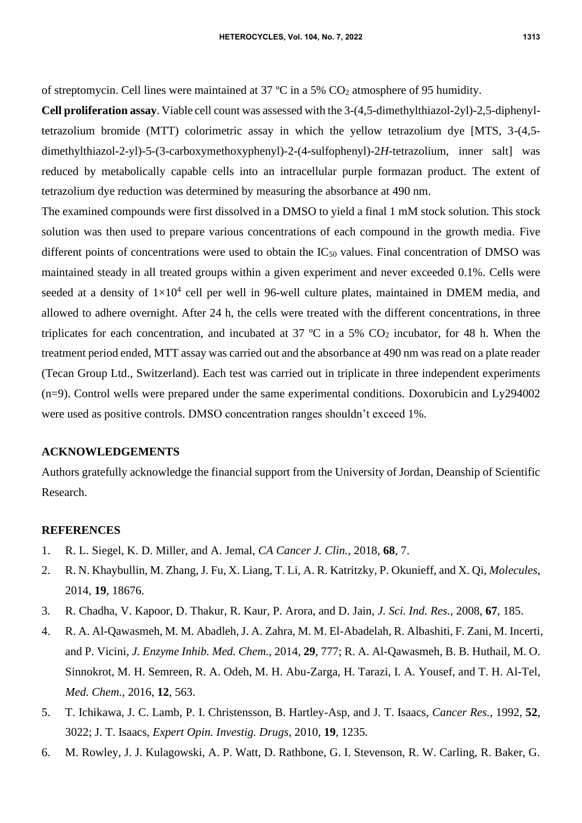of streptomycin. Cell lines were maintained at 37 ºC in a 5% CO<sup>2</sup> atmosphere of 95 humidity.

**Cell proliferation assay**. Viable cell count was assessed with the 3-(4,5-dimethylthiazol-2yl)-2,5-diphenyltetrazolium bromide (MTT) colorimetric assay in which the yellow tetrazolium dye [MTS, 3-(4,5 dimethylthiazol-2-yl)-5-(3-carboxymethoxyphenyl)-2-(4-sulfophenyl)-2*H*-tetrazolium, inner salt] was reduced by metabolically capable cells into an intracellular purple formazan product. The extent of tetrazolium dye reduction was determined by measuring the absorbance at 490 nm.

The examined compounds were first dissolved in a DMSO to yield a final 1 mM stock solution. This stock solution was then used to prepare various concentrations of each compound in the growth media. Five different points of concentrations were used to obtain the  $IC_{50}$  values. Final concentration of DMSO was maintained steady in all treated groups within a given experiment and never exceeded 0.1%. Cells were seeded at a density of  $1\times10^4$  cell per well in 96-well culture plates, maintained in DMEM media, and allowed to adhere overnight. After 24 h, the cells were treated with the different concentrations, in three triplicates for each concentration, and incubated at 37  $\degree$ C in a 5% CO<sub>2</sub> incubator, for 48 h. When the treatment period ended, MTT assay was carried out and the absorbance at 490 nm was read on a plate reader (Tecan Group Ltd., Switzerland). Each test was carried out in triplicate in three independent experiments (n=9). Control wells were prepared under the same experimental conditions. Doxorubicin and Ly294002 were used as positive controls. DMSO concentration ranges shouldn't exceed 1%.

## **ACKNOWLEDGEMENTS**

Authors gratefully acknowledge the financial support from the University of Jordan, Deanship of Scientific Research.

## **REFERENCES**

- 1. R. L. Siegel, K. D. Miller, and A. Jemal, *CA Cancer J. Clin.*, 2018, **68**, 7.
- 2. R. N. Khaybullin, M. Zhang, J. Fu, X. Liang, T. Li, A. R. Katritzky, P. Okunieff, and X. Qi, *Molecules*, 2014, **19**, 18676.
- 3. R. Chadha, V. Kapoor, D. Thakur, R. Kaur, P. Arora, and D. Jain, *J. Sci. Ind. Res.*, 2008, **67**, 185.
- 4. R. A. Al-Qawasmeh, M. M. Abadleh, J. A. Zahra, M. M. El-Abadelah, R. Albashiti, F. Zani, M. Incerti, and P. Vicini, *J. Enzyme Inhib. Med. Chem.*, 2014, **29**, 777; R. A. Al-Qawasmeh, B. B. Huthail, M. O. Sinnokrot, M. H. Semreen, R. A. Odeh, M. H. Abu-Zarga, H. Tarazi, I. A. Yousef, and T. H. Al-Tel, *Med. Chem.*, 2016, **12**, 563.
- 5. T. Ichikawa, J. C. Lamb, P. I. Christensson, B. Hartley-Asp, and J. T. Isaacs, *Cancer Res.*, 1992, **52**, 3022; J. T. Isaacs, *Expert Opin. Investig. Drugs*, 2010, **19**, 1235.
- 6. M. Rowley, J. J. Kulagowski, A. P. Watt, D. Rathbone, G. I. Stevenson, R. W. Carling, R. Baker, G.